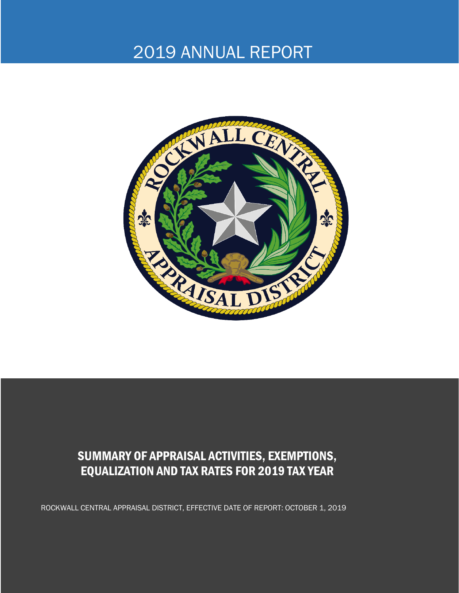# 2019 ANNUAL REPORT



### SUMMARY OF APPRAISAL ACTIVITIES, EXEMPTIONS, EQUALIZATION AND TAX RATES FOR 2019 TAX YEAR

ROCKWALL CENTRAL APPRAISAL DISTRICT, EFFECTIVE DATE OF REPORT: OCTOBER 1, 2019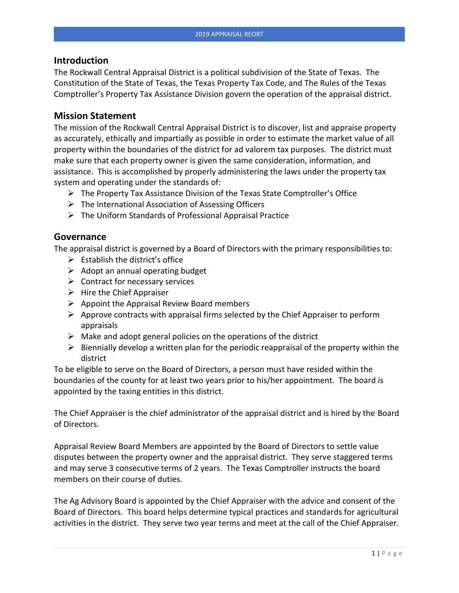#### **Introduction**

The Rockwall Central Appraisal District is a political subdivision of the State of Texas. The Constitution of the State of Texas, the Texas Property Tax Code, and The Rules of the Texas Comptroller's Property Tax Assistance Division govern the operation of the appraisal district.

#### **Mission Statement**

The mission of the Rockwall Central Appraisal District is to discover, list and appraise property as accurately, ethically and impartially as possible in order to estimate the market value of all property within the boundaries of the district for ad valorem tax purposes. The district must make sure that each property owner is given the same consideration, information, and assistance. This is accomplished by properly administering the laws under the property tax system and operating under the standards of:

- ➢ The Property Tax Assistance Division of the Texas State Comptroller's Office
- $\triangleright$  The International Association of Assessing Officers
- ➢ The Uniform Standards of Professional Appraisal Practice

#### **Governance**

The appraisal district is governed by a Board of Directors with the primary responsibilities to:

- $\triangleright$  Establish the district's office
- $\triangleright$  Adopt an annual operating budget
- $\triangleright$  Contract for necessary services
- $\triangleright$  Hire the Chief Appraiser
- $\triangleright$  Appoint the Appraisal Review Board members
- $\triangleright$  Approve contracts with appraisal firms selected by the Chief Appraiser to perform appraisals
- $\triangleright$  Make and adopt general policies on the operations of the district
- $\triangleright$  Biennially develop a written plan for the periodic reappraisal of the property within the district

To be eligible to serve on the Board of Directors, a person must have resided within the boundaries of the county for at least two years prior to his/her appointment. The board is appointed by the taxing entities in this district.

The Chief Appraiser is the chief administrator of the appraisal district and is hired by the Board of Directors.

Appraisal Review Board Members are appointed by the Board of Directors to settle value disputes between the property owner and the appraisal district. They serve staggered terms and may serve 3 consecutive terms of 2 years. The Texas Comptroller instructs the board members on their course of duties.

The Ag Advisory Board is appointed by the Chief Appraiser with the advice and consent of the Board of Directors. This board helps determine typical practices and standards for agricultural activities in the district. They serve two year terms and meet at the call of the Chief Appraiser.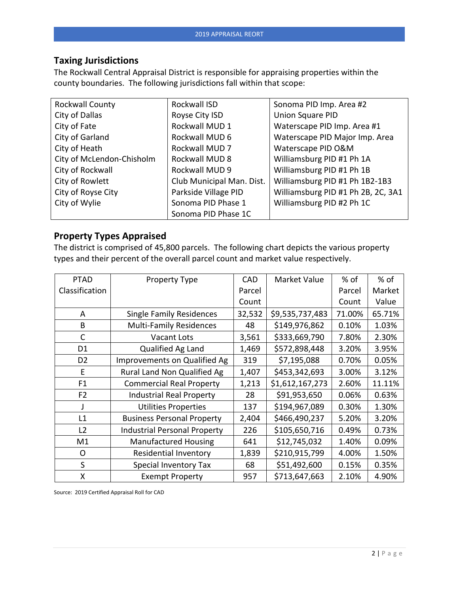#### **Taxing Jurisdictions**

The Rockwall Central Appraisal District is responsible for appraising properties within the county boundaries. The following jurisdictions fall within that scope:

| Rockwall County           | Rockwall ISD              | Sonoma PID Imp. Area #2            |
|---------------------------|---------------------------|------------------------------------|
| City of Dallas            | Royse City ISD            | <b>Union Square PID</b>            |
| City of Fate              | Rockwall MUD 1            | Waterscape PID Imp. Area #1        |
| City of Garland           | Rockwall MUD 6            | Waterscape PID Major Imp. Area     |
| City of Heath             | Rockwall MUD 7            | Waterscape PID O&M                 |
| City of McLendon-Chisholm | Rockwall MUD 8            | Williamsburg PID #1 Ph 1A          |
| City of Rockwall          | Rockwall MUD 9            | Williamsburg PID #1 Ph 1B          |
| City of Rowlett           | Club Municipal Man. Dist. | Williamsburg PID #1 Ph 1B2-1B3     |
| City of Royse City        | Parkside Village PID      | Williamsburg PID #1 Ph 2B, 2C, 3A1 |
| City of Wylie             | Sonoma PID Phase 1        | Williamsburg PID #2 Ph 1C          |
|                           | Sonoma PID Phase 1C       |                                    |

#### **Property Types Appraised**

The district is comprised of 45,800 parcels. The following chart depicts the various property types and their percent of the overall parcel count and market value respectively.

| <b>PTAD</b>    | <b>Property Type</b>                | <b>CAD</b> | Market Value    | $%$ of | $%$ of |
|----------------|-------------------------------------|------------|-----------------|--------|--------|
| Classification |                                     | Parcel     |                 | Parcel | Market |
|                |                                     | Count      |                 | Count  | Value  |
| A              | <b>Single Family Residences</b>     | 32,532     | \$9,535,737,483 | 71.00% | 65.71% |
| B              | <b>Multi-Family Residences</b>      | 48         | \$149,976,862   | 0.10%  | 1.03%  |
| $\mathsf{C}$   | <b>Vacant Lots</b>                  | 3,561      | \$333,669,790   | 7.80%  | 2.30%  |
| D <sub>1</sub> | Qualified Ag Land                   | 1,469      | \$572,898,448   | 3.20%  | 3.95%  |
| D <sub>2</sub> | Improvements on Qualified Ag        | 319        | \$7,195,088     | 0.70%  | 0.05%  |
| E              | Rural Land Non Qualified Ag         | 1,407      | \$453,342,693   | 3.00%  | 3.12%  |
| F <sub>1</sub> | <b>Commercial Real Property</b>     | 1,213      | \$1,612,167,273 | 2.60%  | 11.11% |
| F <sub>2</sub> | <b>Industrial Real Property</b>     | 28         | \$91,953,650    | 0.06%  | 0.63%  |
|                | <b>Utilities Properties</b>         | 137        | \$194,967,089   | 0.30%  | 1.30%  |
| L1             | <b>Business Personal Property</b>   | 2,404      | \$466,490,237   | 5.20%  | 3.20%  |
| L2             | <b>Industrial Personal Property</b> | 226        | \$105,650,716   | 0.49%  | 0.73%  |
| M1             | <b>Manufactured Housing</b>         | 641        | \$12,745,032    | 1.40%  | 0.09%  |
| 0              | <b>Residential Inventory</b>        | 1,839      | \$210,915,799   | 4.00%  | 1.50%  |
| S              | <b>Special Inventory Tax</b>        | 68         | \$51,492,600    | 0.15%  | 0.35%  |
| X              | <b>Exempt Property</b>              | 957        | \$713,647,663   | 2.10%  | 4.90%  |

Source: 2019 Certified Appraisal Roll for CAD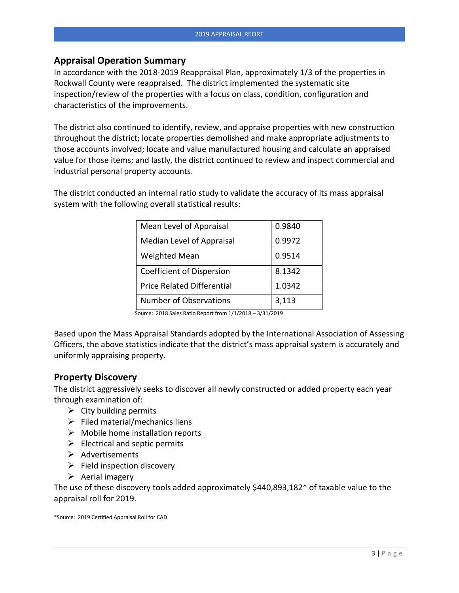#### **Appraisal Operation Summary**

In accordance with the 2018-2019 Reappraisal Plan, approximately 1/3 of the properties in Rockwall County were reappraised. The district implemented the systematic site inspection/review of the properties with a focus on class, condition, configuration and characteristics of the improvements.

The district also continued to identify, review, and appraise properties with new construction throughout the district; locate properties demolished and make appropriate adjustments to those accounts involved; locate and value manufactured housing and calculate an appraised value for those items; and lastly, the district continued to review and inspect commercial and industrial personal property accounts.

The district conducted an internal ratio study to validate the accuracy of its mass appraisal system with the following overall statistical results:

| Mean Level of Appraisal           | 0.9840 |
|-----------------------------------|--------|
| Median Level of Appraisal         | 0.9972 |
| <b>Weighted Mean</b>              | 0.9514 |
| Coefficient of Dispersion         | 8.1342 |
| <b>Price Related Differential</b> | 1.0342 |
| <b>Number of Observations</b>     | 3,113  |

Source: 2018 Sales Ratio Report from 1/1/2018 – 3/31/2019

Based upon the Mass Appraisal Standards adopted by the International Association of Assessing Officers, the above statistics indicate that the district's mass appraisal system is accurately and uniformly appraising property.

#### **Property Discovery**

The district aggressively seeks to discover all newly constructed or added property each year through examination of:

- $\triangleright$  City building permits
- $\triangleright$  Filed material/mechanics liens
- $\triangleright$  Mobile home installation reports
- $\triangleright$  Electrical and septic permits
- ➢ Advertisements
- $\triangleright$  Field inspection discovery
- $\triangleright$  Aerial imagery

The use of these discovery tools added approximately \$440,893,182\* of taxable value to the appraisal roll for 2019.

\*Source: 2019 Certified Appraisal Roll for CAD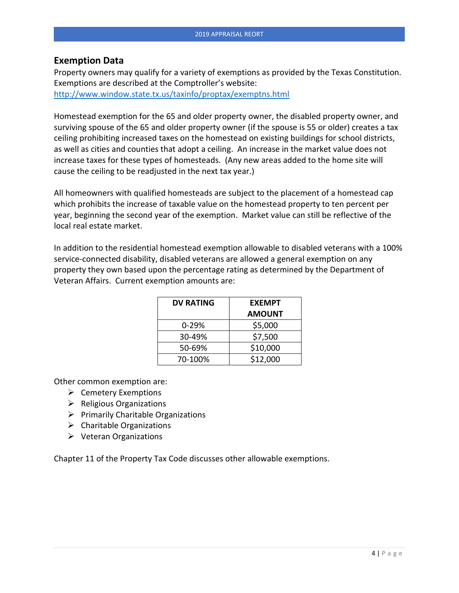#### **Exemption Data**

Property owners may qualify for a variety of exemptions as provided by the Texas Constitution. Exemptions are described at the Comptroller's website: <http://www.window.state.tx.us/taxinfo/proptax/exemptns.html>

Homestead exemption for the 65 and older property owner, the disabled property owner, and surviving spouse of the 65 and older property owner (if the spouse is 55 or older) creates a tax ceiling prohibiting increased taxes on the homestead on existing buildings for school districts, as well as cities and counties that adopt a ceiling. An increase in the market value does not increase taxes for these types of homesteads. (Any new areas added to the home site will cause the ceiling to be readjusted in the next tax year.)

All homeowners with qualified homesteads are subject to the placement of a homestead cap which prohibits the increase of taxable value on the homestead property to ten percent per year, beginning the second year of the exemption. Market value can still be reflective of the local real estate market.

In addition to the residential homestead exemption allowable to disabled veterans with a 100% service-connected disability, disabled veterans are allowed a general exemption on any property they own based upon the percentage rating as determined by the Department of Veteran Affairs. Current exemption amounts are:

| <b>DV RATING</b> | <b>EXEMPT</b> |  |  |
|------------------|---------------|--|--|
|                  | <b>AMOUNT</b> |  |  |
| $0 - 29%$        | \$5,000       |  |  |
| 30-49%           | \$7,500       |  |  |
| 50-69%           | \$10,000      |  |  |
| 70-100%          | \$12,000      |  |  |

Other common exemption are:

- ➢ Cemetery Exemptions
- ➢ Religious Organizations
- $\triangleright$  Primarily Charitable Organizations
- $\triangleright$  Charitable Organizations
- $\triangleright$  Veteran Organizations

Chapter 11 of the Property Tax Code discusses other allowable exemptions.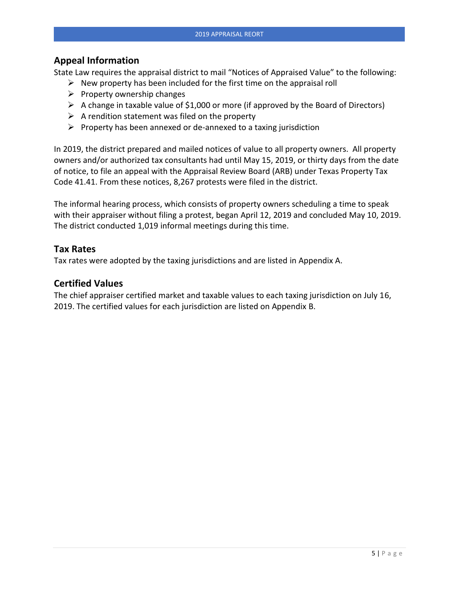#### **Appeal Information**

State Law requires the appraisal district to mail "Notices of Appraised Value" to the following:

- $\triangleright$  New property has been included for the first time on the appraisal roll
- $\triangleright$  Property ownership changes
- $\triangleright$  A change in taxable value of \$1,000 or more (if approved by the Board of Directors)
- $\triangleright$  A rendition statement was filed on the property
- $\triangleright$  Property has been annexed or de-annexed to a taxing jurisdiction

In 2019, the district prepared and mailed notices of value to all property owners. All property owners and/or authorized tax consultants had until May 15, 2019, or thirty days from the date of notice, to file an appeal with the Appraisal Review Board (ARB) under Texas Property Tax Code 41.41. From these notices, 8,267 protests were filed in the district.

The informal hearing process, which consists of property owners scheduling a time to speak with their appraiser without filing a protest, began April 12, 2019 and concluded May 10, 2019. The district conducted 1,019 informal meetings during this time.

#### **Tax Rates**

Tax rates were adopted by the taxing jurisdictions and are listed in Appendix A.

#### **Certified Values**

The chief appraiser certified market and taxable values to each taxing jurisdiction on July 16, 2019. The certified values for each jurisdiction are listed on Appendix B.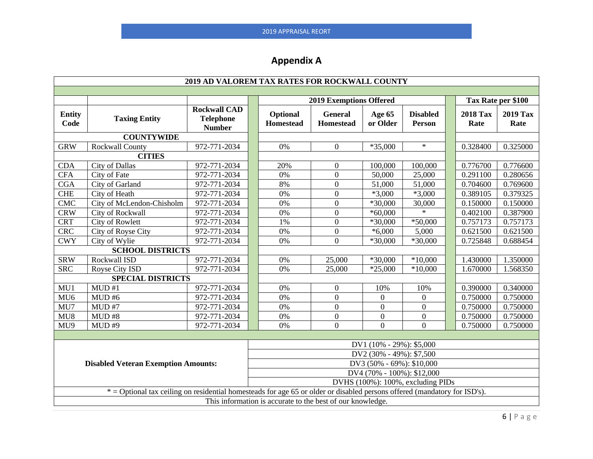## **Appendix A**

| 2019 AD VALOREM TAX RATES FOR ROCKWALL COUNTY                                                                             |                                                                         |                                                          |  |                                |                                    |                    |                                   |                         |                         |
|---------------------------------------------------------------------------------------------------------------------------|-------------------------------------------------------------------------|----------------------------------------------------------|--|--------------------------------|------------------------------------|--------------------|-----------------------------------|-------------------------|-------------------------|
|                                                                                                                           |                                                                         |                                                          |  |                                |                                    |                    |                                   |                         |                         |
|                                                                                                                           |                                                                         |                                                          |  | <b>2019 Exemptions Offered</b> |                                    |                    | Tax Rate per \$100                |                         |                         |
| <b>Entity</b><br>Code                                                                                                     | <b>Taxing Entity</b>                                                    | <b>Rockwall CAD</b><br><b>Telephone</b><br><b>Number</b> |  | Optional<br><b>Homestead</b>   | <b>General</b><br><b>Homestead</b> | Age 65<br>or Older | <b>Disabled</b><br>Person         | <b>2018 Tax</b><br>Rate | <b>2019 Tax</b><br>Rate |
|                                                                                                                           | <b>COUNTYWIDE</b>                                                       |                                                          |  |                                |                                    |                    |                                   |                         |                         |
| <b>GRW</b>                                                                                                                | <b>Rockwall County</b>                                                  | 972-771-2034                                             |  | 0%                             | $\Omega$                           | $*35,000$          | $\ast$                            | 0.328400                | 0.325000                |
|                                                                                                                           | <b>CITIES</b>                                                           |                                                          |  |                                |                                    |                    |                                   |                         |                         |
| <b>CDA</b>                                                                                                                | <b>City of Dallas</b>                                                   | 972-771-2034                                             |  | 20%                            | $\overline{0}$                     | 100,000            | 100,000                           | 0.776700                | 0.776600                |
| <b>CFA</b>                                                                                                                | City of Fate                                                            | 972-771-2034                                             |  | 0%                             | $\Omega$                           | 50,000             | 25,000                            | 0.291100                | 0.280656                |
| <b>CGA</b>                                                                                                                | City of Garland                                                         | 972-771-2034                                             |  | 8%                             | $\Omega$                           | 51,000             | 51,000                            | 0.704600                | 0.769600                |
| ${\rm CHE}$                                                                                                               | City of Heath                                                           | 972-771-2034                                             |  | $0\%$                          | $\boldsymbol{0}$                   | $*3,000$           | $*3,000$                          | 0.389105                | 0.379325                |
| <b>CMC</b>                                                                                                                | City of McLendon-Chisholm                                               | 972-771-2034                                             |  | 0%                             | $\overline{0}$                     | $*30,000$          | 30,000                            | 0.150000                | 0.150000                |
| <b>CRW</b>                                                                                                                | City of Rockwall                                                        | 972-771-2034                                             |  | 0%                             | $\overline{0}$                     | $*60,000$          | $\star$                           | 0.402100                | 0.387900                |
| <b>CRT</b>                                                                                                                | <b>City of Rowlett</b>                                                  | 972-771-2034                                             |  | 1%                             | $\boldsymbol{0}$                   | $*30,000$          | $*50,000$                         | 0.757173                | 0.757173                |
| <b>CRC</b>                                                                                                                | City of Royse City                                                      | 972-771-2034                                             |  | 0%                             | $\boldsymbol{0}$                   | $*6,000$           | 5,000                             | 0.621500                | 0.621500                |
| <b>CWY</b>                                                                                                                | City of Wylie                                                           | 972-771-2034                                             |  | 0%                             | $\overline{0}$                     | *30,000            | $*30,000$                         | 0.725848                | 0.688454                |
| <b>SCHOOL DISTRICTS</b>                                                                                                   |                                                                         |                                                          |  |                                |                                    |                    |                                   |                         |                         |
| <b>SRW</b>                                                                                                                | Rockwall ISD                                                            | 972-771-2034                                             |  | 0%                             | 25,000                             | *30,000            | $*10,000$                         | 1.430000                | 1.350000                |
| S <sub>RC</sub>                                                                                                           | Royse City ISD                                                          | 972-771-2034                                             |  | 0%                             | 25,000                             | $*25,000$          | $*10,000$                         | 1.670000                | 1.568350                |
| <b>SPECIAL DISTRICTS</b>                                                                                                  |                                                                         |                                                          |  |                                |                                    |                    |                                   |                         |                         |
| MU1                                                                                                                       | MUD#1                                                                   | 972-771-2034                                             |  | 0%                             | $\overline{0}$                     | 10%                | 10%                               | 0.390000                | 0.340000                |
| MU <sub>6</sub>                                                                                                           | MUD#6                                                                   | 972-771-2034                                             |  | 0%                             | $\boldsymbol{0}$                   | $\theta$           | 0                                 | 0.750000                | 0.750000                |
| MU7                                                                                                                       | MUD#7                                                                   | 972-771-2034                                             |  | 0%                             | $\overline{0}$                     | $\Omega$           | $\overline{0}$                    | 0.750000                | 0.750000                |
| MU8                                                                                                                       | MUD#8                                                                   | 972-771-2034                                             |  | $0\%$                          | $\overline{0}$                     | $\boldsymbol{0}$   | $\overline{0}$                    | 0.750000                | 0.750000                |
| MU9                                                                                                                       | MUD#9                                                                   | 972-771-2034                                             |  | 0%                             | $\overline{0}$                     | $\theta$           | $\overline{0}$                    | 0.750000                | 0.750000                |
|                                                                                                                           |                                                                         |                                                          |  |                                |                                    |                    |                                   |                         |                         |
| DV1 (10% - 29%): \$5,000                                                                                                  |                                                                         |                                                          |  |                                |                                    |                    |                                   |                         |                         |
|                                                                                                                           | DV2 (30% - 49%): \$7,500                                                |                                                          |  |                                |                                    |                    |                                   |                         |                         |
|                                                                                                                           | DV3 (50% - 69%): \$10,000<br><b>Disabled Veteran Exemption Amounts:</b> |                                                          |  |                                |                                    |                    |                                   |                         |                         |
| DV4 (70% - 100%): \$12,000                                                                                                |                                                                         |                                                          |  |                                |                                    |                    |                                   |                         |                         |
|                                                                                                                           |                                                                         |                                                          |  |                                |                                    |                    | DVHS (100%): 100%, excluding PIDs |                         |                         |
| * = Optional tax ceiling on residential homesteads for age 65 or older or disabled persons offered (mandatory for ISD's). |                                                                         |                                                          |  |                                |                                    |                    |                                   |                         |                         |
| This information is accurate to the best of our knowledge.                                                                |                                                                         |                                                          |  |                                |                                    |                    |                                   |                         |                         |